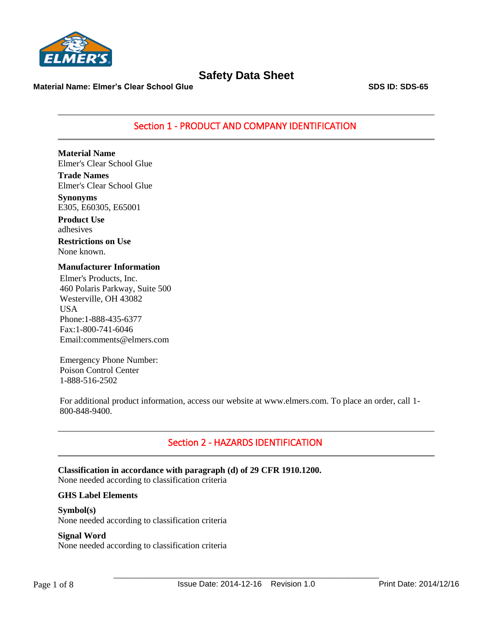

**Material Name: Elmer's Clear School Glue SDS ID: SDS-65**

Section 1 - PRODUCT AND COMPANY IDENTIFICATION

**Material Name** Elmer's Clear School Glue

**Trade Names** Elmer's Clear School Glue

**Synonyms** E305, E60305, E65001

**Product Use** adhesives

**Restrictions on Use** None known.

### **Manufacturer Information**

Elmer's Products, Inc. 460 Polaris Parkway, Suite 500 Westerville, OH 43082 USA Phone:1-888-435-6377 Fax:1-800-741-6046 Email:comments@elmers.com

Emergency Phone Number: Poison Control Center 1-888-516-2502

For additional product information, access our website at www.elmers.com. To place an order, call 1- 800-848-9400.

# Section 2 - HAZARDS IDENTIFICATION

**Classification in accordance with paragraph (d) of 29 CFR 1910.1200.** None needed according to classification criteria

### **GHS Label Elements**

**Symbol(s)** None needed according to classification criteria

### **Signal Word**

None needed according to classification criteria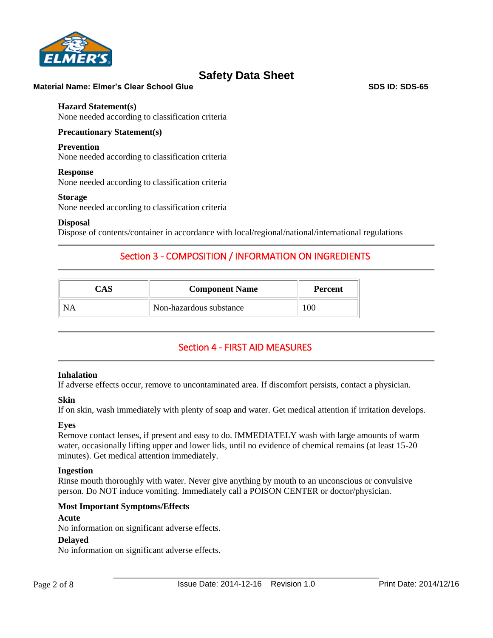

### **Material Name: Elmer's Clear School Glue SDS ID: SDS-65** SDS ID: SDS-65

### **Hazard Statement(s)**

None needed according to classification criteria

### **Precautionary Statement(s)**

### **Prevention**

None needed according to classification criteria

### **Response**

None needed according to classification criteria

#### **Storage**

None needed according to classification criteria

### **Disposal**

Dispose of contents/container in accordance with local/regional/national/international regulations

# Section 3 - COMPOSITION / INFORMATION ON INGREDIENTS

| <b>Component Name</b>   | <b>Percent</b> |
|-------------------------|----------------|
| Non-hazardous substance | OC.            |

# Section 4 - FIRST AID MEASURES

### **Inhalation**

If adverse effects occur, remove to uncontaminated area. If discomfort persists, contact a physician.

### **Skin**

If on skin, wash immediately with plenty of soap and water. Get medical attention if irritation develops.

### **Eyes**

Remove contact lenses, if present and easy to do. IMMEDIATELY wash with large amounts of warm water, occasionally lifting upper and lower lids, until no evidence of chemical remains (at least 15-20 minutes). Get medical attention immediately.

### **Ingestion**

Rinse mouth thoroughly with water. Never give anything by mouth to an unconscious or convulsive person. Do NOT induce vomiting. Immediately call a POISON CENTER or doctor/physician.

### **Most Important Symptoms/Effects**

### **Acute**

No information on significant adverse effects.

### **Delayed**

No information on significant adverse effects.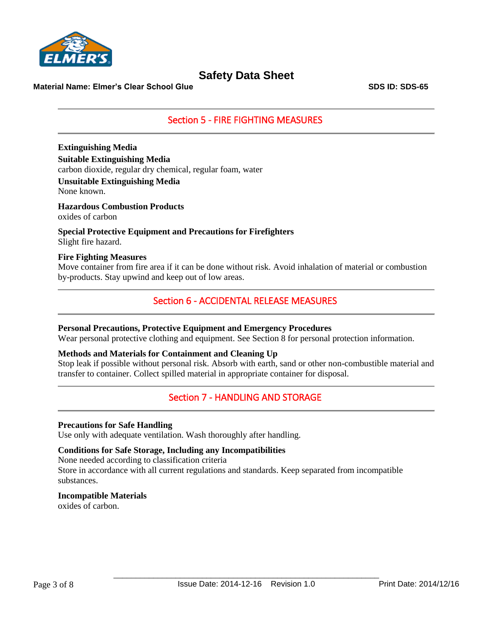

**Material Name: Elmer's Clear School Glue SDS ID: SDS-65** SDS ID: SDS-65

## Section 5 - FIRE FIGHTING MEASURES

**Extinguishing Media Suitable Extinguishing Media** carbon dioxide, regular dry chemical, regular foam, water

**Unsuitable Extinguishing Media** None known.

**Hazardous Combustion Products** oxides of carbon

**Special Protective Equipment and Precautions for Firefighters** Slight fire hazard.

### **Fire Fighting Measures**

Move container from fire area if it can be done without risk. Avoid inhalation of material or combustion by-products. Stay upwind and keep out of low areas.

## Section 6 - ACCIDENTAL RELEASE MEASURES

### **Personal Precautions, Protective Equipment and Emergency Procedures**

Wear personal protective clothing and equipment. See Section 8 for personal protection information.

### **Methods and Materials for Containment and Cleaning Up**

Stop leak if possible without personal risk. Absorb with earth, sand or other non-combustible material and transfer to container. Collect spilled material in appropriate container for disposal.

## Section 7 - HANDLING AND STORAGE

### **Precautions for Safe Handling**

Use only with adequate ventilation. Wash thoroughly after handling.

### **Conditions for Safe Storage, Including any Incompatibilities**

None needed according to classification criteria Store in accordance with all current regulations and standards. Keep separated from incompatible substances.

### **Incompatible Materials**

oxides of carbon.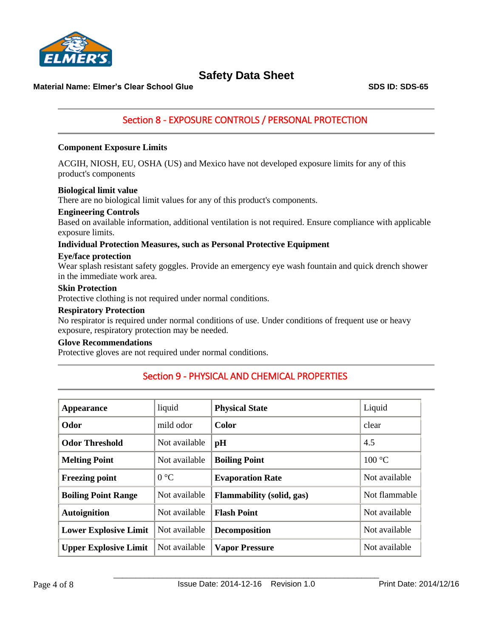

**Material Name: Elmer's Clear School Glue SDS ID: SDS-65**

# Section 8 - EXPOSURE CONTROLS / PERSONAL PROTECTION

### **Component Exposure Limits**

ACGIH, NIOSH, EU, OSHA (US) and Mexico have not developed exposure limits for any of this product's components

### **Biological limit value**

There are no biological limit values for any of this product's components.

### **Engineering Controls**

Based on available information, additional ventilation is not required. Ensure compliance with applicable exposure limits.

### **Individual Protection Measures, such as Personal Protective Equipment**

### **Eye/face protection**

Wear splash resistant safety goggles. Provide an emergency eye wash fountain and quick drench shower in the immediate work area.

### **Skin Protection**

Protective clothing is not required under normal conditions.

#### **Respiratory Protection**

No respirator is required under normal conditions of use. Under conditions of frequent use or heavy exposure, respiratory protection may be needed.

### **Glove Recommendations**

Protective gloves are not required under normal conditions.

| <b>Appearance</b>            | liquid        | <b>Physical State</b>            | Liquid        |
|------------------------------|---------------|----------------------------------|---------------|
| Odor                         | mild odor     | Color                            | clear         |
| <b>Odor Threshold</b>        | Not available | pH                               | 4.5           |
| <b>Melting Point</b>         | Not available | <b>Boiling Point</b>             | 100 °C        |
| <b>Freezing point</b>        | $0^{\circ}C$  | <b>Evaporation Rate</b>          | Not available |
| <b>Boiling Point Range</b>   | Not available | <b>Flammability (solid, gas)</b> | Not flammable |
| <b>Autoignition</b>          | Not available | <b>Flash Point</b>               | Not available |
| <b>Lower Explosive Limit</b> | Not available | <b>Decomposition</b>             | Not available |
| <b>Upper Explosive Limit</b> | Not available | <b>Vapor Pressure</b>            | Not available |

# Section 9 - PHYSICAL AND CHEMICAL PROPERTIES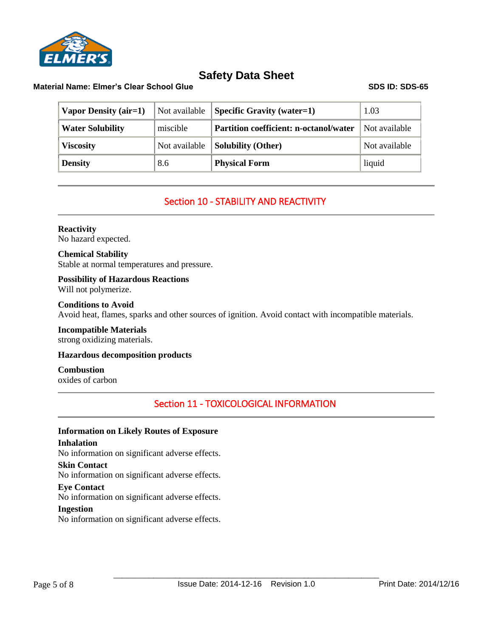

### **Material Name: Elmer's Clear School Glue SDS ID: SDS-65**

| <b>Vapor Density (air=1)</b> | Not available | <b>Specific Gravity (water=1)</b>             | 1.03          |
|------------------------------|---------------|-----------------------------------------------|---------------|
| <b>Water Solubility</b>      | miscible      | <b>Partition coefficient: n-octanol/water</b> | Not available |
| <b>Viscosity</b>             | Not available | <b>Solubility (Other)</b>                     | Not available |
| <b>Density</b>               | 8.6           | <b>Physical Form</b>                          | liquid        |

# Section 10 - STABILITY AND REACTIVITY

### **Reactivity**

No hazard expected.

### **Chemical Stability**

Stable at normal temperatures and pressure.

### **Possibility of Hazardous Reactions** Will not polymerize.

### **Conditions to Avoid**

Avoid heat, flames, sparks and other sources of ignition. Avoid contact with incompatible materials.

### **Incompatible Materials** strong oxidizing materials.

### **Hazardous decomposition products**

### **Combustion**

oxides of carbon

# Section 11 - TOXICOLOGICAL INFORMATION

### **Information on Likely Routes of Exposure**

**Inhalation** No information on significant adverse effects.

### **Skin Contact**

No information on significant adverse effects.

### **Eye Contact**

No information on significant adverse effects.

### **Ingestion**

No information on significant adverse effects.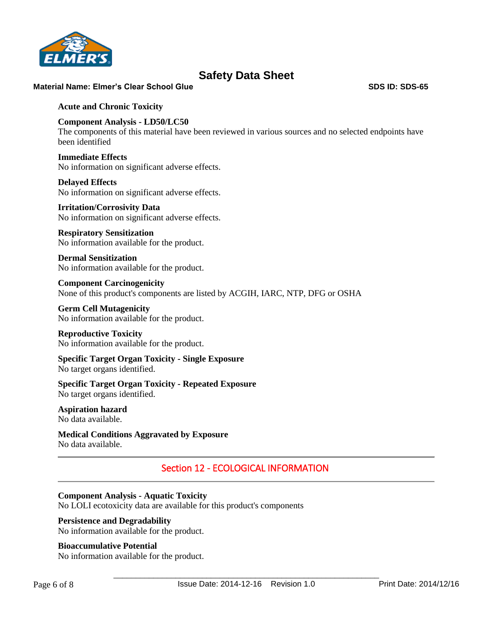

### **Material Name: Elmer's Clear School Glue SDS ID: SDS-65**

### **Acute and Chronic Toxicity**

### **Component Analysis - LD50/LC50**

The components of this material have been reviewed in various sources and no selected endpoints have been identified

### **Immediate Effects** No information on significant adverse effects.

**Delayed Effects** No information on significant adverse effects.

### **Irritation/Corrosivity Data**

No information on significant adverse effects.

### **Respiratory Sensitization** No information available for the product.

**Dermal Sensitization** No information available for the product.

**Component Carcinogenicity** None of this product's components are listed by ACGIH, IARC, NTP, DFG or OSHA

### **Germ Cell Mutagenicity** No information available for the product.

#### **Reproductive Toxicity** No information available for the product.

### **Specific Target Organ Toxicity - Single Exposure** No target organs identified.

### **Specific Target Organ Toxicity - Repeated Exposure** No target organs identified.

#### **Aspiration hazard** No data available.

#### **Medical Conditions Aggravated by Exposure** No data available.

## Section 12 - ECOLOGICAL INFORMATION

### **Component Analysis - Aquatic Toxicity**

No LOLI ecotoxicity data are available for this product's components

### **Persistence and Degradability**

No information available for the product.

### **Bioaccumulative Potential**

No information available for the product.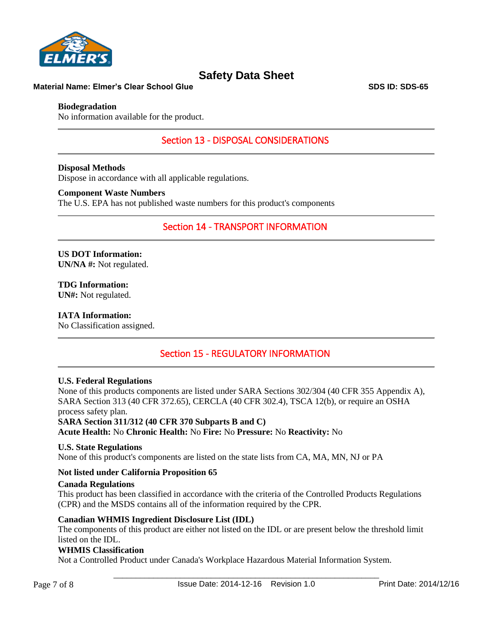

### **Material Name: Elmer's Clear School Glue SDS ID: SDS-65** SDS ID: SDS-65

### **Biodegradation**

No information available for the product.

Section 13 - DISPOSAL CONSIDERATIONS

**Disposal Methods** Dispose in accordance with all applicable regulations.

#### **Component Waste Numbers**

The U.S. EPA has not published waste numbers for this product's components

Section 14 - TRANSPORT INFORMATION

**US DOT Information: UN/NA #:** Not regulated.

**TDG Information: UN#:** Not regulated.

**IATA Information:** No Classification assigned.

## Section 15 - REGULATORY INFORMATION

### **U.S. Federal Regulations**

None of this products components are listed under SARA Sections 302/304 (40 CFR 355 Appendix A), SARA Section 313 (40 CFR 372.65), CERCLA (40 CFR 302.4), TSCA 12(b), or require an OSHA process safety plan.

**SARA Section 311/312 (40 CFR 370 Subparts B and C)**

**Acute Health:** No **Chronic Health:** No **Fire:** No **Pressure:** No **Reactivity:** No

### **U.S. State Regulations**

None of this product's components are listed on the state lists from CA, MA, MN, NJ or PA

### **Not listed under California Proposition 65**

### **Canada Regulations**

This product has been classified in accordance with the criteria of the Controlled Products Regulations (CPR) and the MSDS contains all of the information required by the CPR.

### **Canadian WHMIS Ingredient Disclosure List (IDL)**

The components of this product are either not listed on the IDL or are present below the threshold limit listed on the IDL.

### **WHMIS Classification**

Not a Controlled Product under Canada's Workplace Hazardous Material Information System.